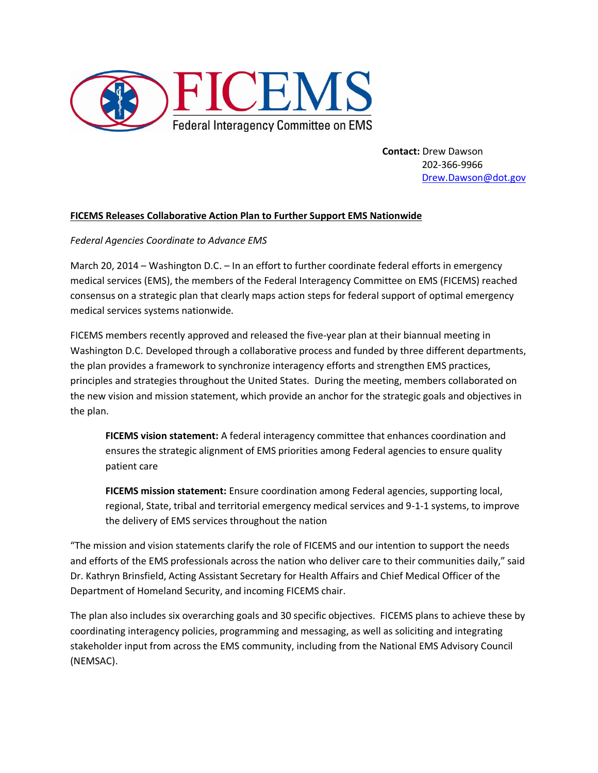

**Contact:** Drew Dawson 202-366-9966 [Drew.Dawson@dot.gov](mailto:Drew.Dawson@dot.gov)

## **FICEMS Releases Collaborative Action Plan to Further Support EMS Nationwide**

## *Federal Agencies Coordinate to Advance EMS*

March 20, 2014 – Washington D.C. – In an effort to further coordinate federal efforts in emergency medical services (EMS), the members of the Federal Interagency Committee on EMS (FICEMS) reached consensus on a strategic plan that clearly maps action steps for federal support of optimal emergency medical services systems nationwide.

FICEMS members recently approved and released the five-year plan at their biannual meeting in Washington D.C. Developed through a collaborative process and funded by three different departments, the plan provides a framework to synchronize interagency efforts and strengthen EMS practices, principles and strategies throughout the United States. During the meeting, members collaborated on the new vision and mission statement, which provide an anchor for the strategic goals and objectives in the plan.

**FICEMS vision statement:** A federal interagency committee that enhances coordination and ensures the strategic alignment of EMS priorities among Federal agencies to ensure quality patient care

**FICEMS mission statement:** Ensure coordination among Federal agencies, supporting local, regional, State, tribal and territorial emergency medical services and 9-1-1 systems, to improve the delivery of EMS services throughout the nation

"The mission and vision statements clarify the role of FICEMS and our intention to support the needs and efforts of the EMS professionals across the nation who deliver care to their communities daily," said Dr. Kathryn Brinsfield, Acting Assistant Secretary for Health Affairs and Chief Medical Officer of the Department of Homeland Security, and incoming FICEMS chair.

The plan also includes six overarching goals and 30 specific objectives. FICEMS plans to achieve these by coordinating interagency policies, programming and messaging, as well as soliciting and integrating stakeholder input from across the EMS community, including from the National EMS Advisory Council (NEMSAC).